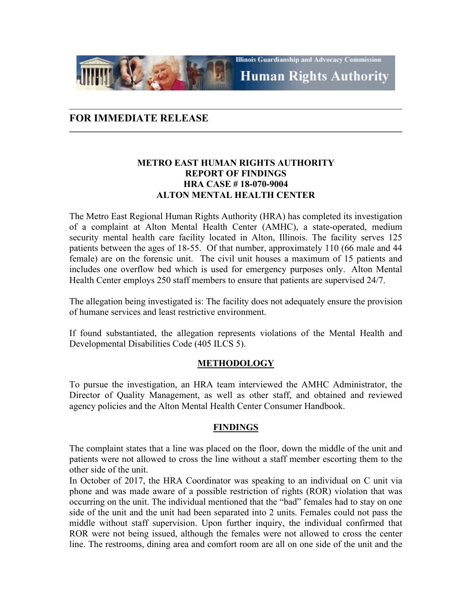**Illinois Guardianship and Advocacy Commission Human Rights Authority** 

# **FOR IMMEDIATE RELEASE**

## **METRO EAST HUMAN RIGHTS AUTHORITY REPORT OF FINDINGS HRA CASE # 18-070-9004 ALTON MENTAL HEALTH CENTER**

The Metro East Regional Human Rights Authority (HRA) has completed its investigation of a complaint at Alton Mental Health Center (AMHC), a state-operated, medium security mental health care facility located in Alton, Illinois. The facility serves 125 patients between the ages of 18-55. Of that number, approximately 110 (66 male and 44 female) are on the forensic unit. The civil unit houses a maximum of 15 patients and includes one overflow bed which is used for emergency purposes only. Alton Mental Health Center employs 250 staff members to ensure that patients are supervised 24/7.

The allegation being investigated is: The facility does not adequately ensure the provision of humane services and least restrictive environment.

If found substantiated, the allegation represents violations of the Mental Health and Developmental Disabilities Code (405 ILCS 5).

### **METHODOLOGY**

To pursue the investigation, an HRA team interviewed the AMHC Administrator, the Director of Quality Management, as well as other staff, and obtained and reviewed agency policies and the Alton Mental Health Center Consumer Handbook.

## **FINDINGS**

The complaint states that a line was placed on the floor, down the middle of the unit and patients were not allowed to cross the line without a staff member escorting them to the other side of the unit.

In October of 2017, the HRA Coordinator was speaking to an individual on C unit via phone and was made aware of a possible restriction of rights (ROR) violation that was occurring on the unit. The individual mentioned that the "bad" females had to stay on one side of the unit and the unit had been separated into 2 units. Females could not pass the middle without staff supervision. Upon further inquiry, the individual confirmed that ROR were not being issued, although the females were not allowed to cross the center line. The restrooms, dining area and comfort room are all on one side of the unit and the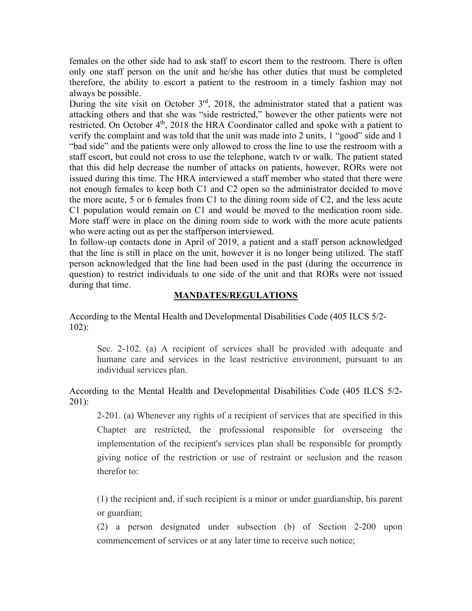females on the other side had to ask staff to escort them to the restroom. There is often only one staff person on the unit and he/she has other duties that must be completed therefore, the ability to escort a patient to the restroom in a timely fashion may not always be possible.

During the site visit on October  $3<sup>rd</sup>$ , 2018, the administrator stated that a patient was attacking others and that she was "side restricted," however the other patients were not restricted. On October  $4<sup>th</sup>$ , 2018 the HRA Coordinator called and spoke with a patient to verify the complaint and was told that the unit was made into 2 units, 1 "good" side and 1 "bad side" and the patients were only allowed to cross the line to use the restroom with a staff escort, but could not cross to use the telephone, watch tv or walk. The patient stated that this did help decrease the number of attacks on patients, however, RORs were not issued during this time. The HRA interviewed a staff member who stated that there were not enough females to keep both C1 and C2 open so the administrator decided to move the more acute, 5 or 6 females from C1 to the dining room side of C2, and the less acute C1 population would remain on C1 and would be moved to the medication room side. More staff were in place on the dining room side to work with the more acute patients who were acting out as per the staffperson interviewed.

In follow-up contacts done in April of 2019, a patient and a staff person acknowledged that the line is still in place on the unit, however it is no longer being utilized. The staff person acknowledged that the line had been used in the past (during the occurrence in question) to restrict individuals to one side of the unit and that RORs were not issued during that time.

#### **MANDATES/REGULATIONS**

According to the Mental Health and Developmental Disabilities Code (405 ILCS 5/2- 102):

Sec. 2-102. (a) A recipient of services shall be provided with adequate and humane care and services in the least restrictive environment, pursuant to an individual services plan.

## According to the Mental Health and Developmental Disabilities Code (405 ILCS 5/2- 201):

2-201. (a) Whenever any rights of a recipient of services that are specified in this Chapter are restricted, the professional responsible for overseeing the implementation of the recipient's services plan shall be responsible for promptly giving notice of the restriction or use of restraint or seclusion and the reason therefor to:

(1) the recipient and, if such recipient is a minor or under guardianship, his parent or guardian;

(2) a person designated under subsection (b) of Section 2-200 upon commencement of services or at any later time to receive such notice;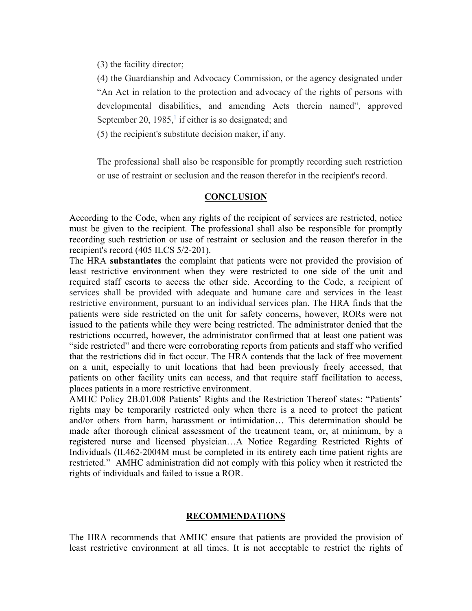(3) the facility director;

(4) the Guardianship and Advocacy Commission, or the agency designated under "An Act in relation to the protection and advocacy of the rights of persons with developmental disabilities, and amending Acts therein named", approved September 20, [1](https://1.next.westlaw.com/Document/N2C539270DAF811DA9F00E4F82CEBF25B/View/FullText.html?transitionType=UniqueDocItem&contextData=(sc.Default)&userEnteredCitation=405+ILCS+5%2f2-201#co_footnote_IDFDB6D40B57A11DD9136C23DCD5ABEA3)985, $\frac{1}{1}$  if either is so designated; and

(5) the recipient's substitute decision maker, if any.

The professional shall also be responsible for promptly recording such restriction or use of restraint or seclusion and the reason therefor in the recipient's record.

#### **CONCLUSION**

According to the Code, when any rights of the recipient of services are restricted, notice must be given to the recipient. The professional shall also be responsible for promptly recording such restriction or use of restraint or seclusion and the reason therefor in the recipient's record (405 ILCS 5/2-201).

The HRA **substantiates** the complaint that patients were not provided the provision of least restrictive environment when they were restricted to one side of the unit and required staff escorts to access the other side. According to the Code, a recipient of services shall be provided with adequate and humane care and services in the least restrictive environment, pursuant to an individual services plan. The HRA finds that the patients were side restricted on the unit for safety concerns, however, RORs were not issued to the patients while they were being restricted. The administrator denied that the restrictions occurred, however, the administrator confirmed that at least one patient was "side restricted" and there were corroborating reports from patients and staff who verified that the restrictions did in fact occur. The HRA contends that the lack of free movement on a unit, especially to unit locations that had been previously freely accessed, that patients on other facility units can access, and that require staff facilitation to access, places patients in a more restrictive environment.

AMHC Policy 2B.01.008 Patients' Rights and the Restriction Thereof states: "Patients' rights may be temporarily restricted only when there is a need to protect the patient and/or others from harm, harassment or intimidation… This determination should be made after thorough clinical assessment of the treatment team, or, at minimum, by a registered nurse and licensed physician…A Notice Regarding Restricted Rights of Individuals (IL462-2004M must be completed in its entirety each time patient rights are restricted." AMHC administration did not comply with this policy when it restricted the rights of individuals and failed to issue a ROR.

### **RECOMMENDATIONS**

The HRA recommends that AMHC ensure that patients are provided the provision of least restrictive environment at all times. It is not acceptable to restrict the rights of